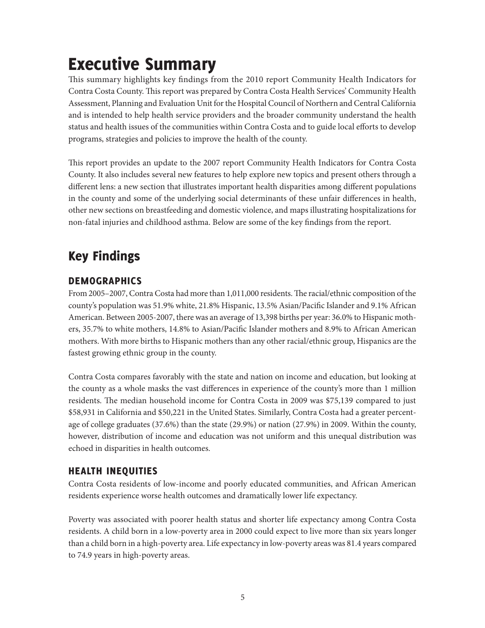# Executive Summary

This summary highlights key findings from the 2010 report Community Health Indicators for Contra Costa County. This report was prepared by Contra Costa Health Services' Community Health Assessment, Planning and Evaluation Unit for the Hospital Council of Northern and Central California and is intended to help health service providers and the broader community understand the health status and health issues of the communities within Contra Costa and to guide local efforts to develop programs, strategies and policies to improve the health of the county.

This report provides an update to the 2007 report Community Health Indicators for Contra Costa County. It also includes several new features to help explore new topics and present others through a different lens: a new section that illustrates important health disparities among different populations in the county and some of the underlying social determinants of these unfair differences in health, other new sections on breastfeeding and domestic violence, and maps illustrating hospitalizations for non-fatal injuries and childhood asthma. Below are some of the key findings from the report.

## Key Findings

#### DEMOGRAPHICS

From 2005–2007, Contra Costa had more than 1,011,000 residents. The racial/ethnic composition of the county's population was 51.9% white, 21.8% Hispanic, 13.5% Asian/Pacific Islander and 9.1% African American. Between 2005-2007, there was an average of 13,398 births per year: 36.0% to Hispanic mothers, 35.7% to white mothers, 14.8% to Asian/Pacific Islander mothers and 8.9% to African American mothers. With more births to Hispanic mothers than any other racial/ethnic group, Hispanics are the fastest growing ethnic group in the county.

Contra Costa compares favorably with the state and nation on income and education, but looking at the county as a whole masks the vast differences in experience of the county's more than 1 million residents. The median household income for Contra Costa in 2009 was \$75,139 compared to just \$58,931 in California and \$50,221 in the United States. Similarly, Contra Costa had a greater percentage of college graduates (37.6%) than the state (29.9%) or nation (27.9%) in 2009. Within the county, however, distribution of income and education was not uniform and this unequal distribution was echoed in disparities in health outcomes.

#### HEALTH INEQUITIES

Contra Costa residents of low-income and poorly educated communities, and African American residents experience worse health outcomes and dramatically lower life expectancy.

Poverty was associated with poorer health status and shorter life expectancy among Contra Costa residents. A child born in a low-poverty area in 2000 could expect to live more than six years longer than a child born in a high-poverty area. Life expectancy in low-poverty areas was 81.4 years compared to 74.9 years in high-poverty areas.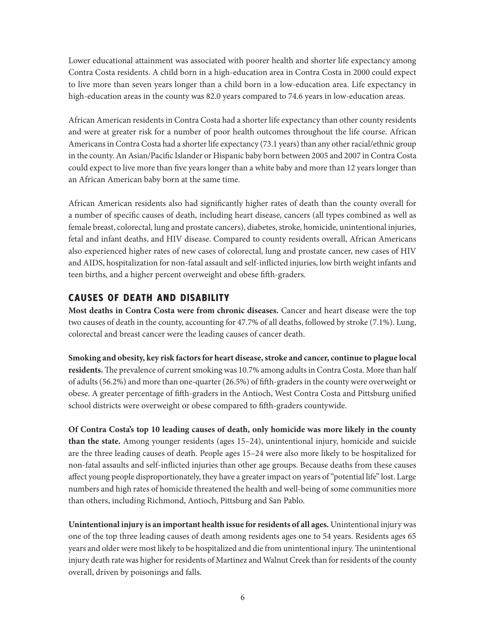Lower educational attainment was associated with poorer health and shorter life expectancy among Contra Costa residents. A child born in a high-education area in Contra Costa in 2000 could expect to live more than seven years longer than a child born in a low-education area. Life expectancy in high-education areas in the county was 82.0 years compared to 74.6 years in low-education areas.

African American residents in Contra Costa had a shorter life expectancy than other county residents and were at greater risk for a number of poor health outcomes throughout the life course. African Americans in Contra Costa had a shorter life expectancy (73.1 years) than any other racial/ethnic group in the county. An Asian/Pacific Islander or Hispanic baby born between 2005 and 2007 in Contra Costa could expect to live more than five years longer than a white baby and more than 12 years longer than an African American baby born at the same time.

African American residents also had significantly higher rates of death than the county overall for a number of specific causes of death, including heart disease, cancers (all types combined as well as female breast, colorectal, lung and prostate cancers), diabetes, stroke, homicide, unintentional injuries, fetal and infant deaths, and HIV disease. Compared to county residents overall, African Americans also experienced higher rates of new cases of colorectal, lung and prostate cancer, new cases of HIV and AIDS, hospitalization for non-fatal assault and self-inflicted injuries, low birth weight infants and teen births, and a higher percent overweight and obese fifth-graders.

#### CAUSES OF DEATH AND DISABILITY

**Most deaths in Contra Costa were from chronic diseases.** Cancer and heart disease were the top two causes of death in the county, accounting for 47.7% of all deaths, followed by stroke (7.1%). Lung, colorectal and breast cancer were the leading causes of cancer death.

**Smoking and obesity, key risk factors for heart disease, stroke and cancer, continue to plague local residents.** The prevalence of current smoking was 10.7% among adults in Contra Costa. More than half of adults (56.2%) and more than one-quarter (26.5%) of fifth-graders in the county were overweight or obese. A greater percentage of fifth-graders in the Antioch, West Contra Costa and Pittsburg unified school districts were overweight or obese compared to fifth-graders countywide.

**Of Contra Costa's top 10 leading causes of death, only homicide was more likely in the county than the state.** Among younger residents (ages 15–24), unintentional injury, homicide and suicide are the three leading causes of death. People ages 15–24 were also more likely to be hospitalized for non-fatal assaults and self-inflicted injuries than other age groups. Because deaths from these causes affect young people disproportionately, they have a greater impact on years of "potential life" lost. Large numbers and high rates of homicide threatened the health and well-being of some communities more than others, including Richmond, Antioch, Pittsburg and San Pablo.

**Unintentional injury is an important health issue for residents of all ages.** Unintentional injury was one of the top three leading causes of death among residents ages one to 54 years. Residents ages 65 years and older were most likely to be hospitalized and die from unintentional injury. The unintentional injury death rate was higher for residents of Martinez and Walnut Creek than for residents of the county overall, driven by poisonings and falls.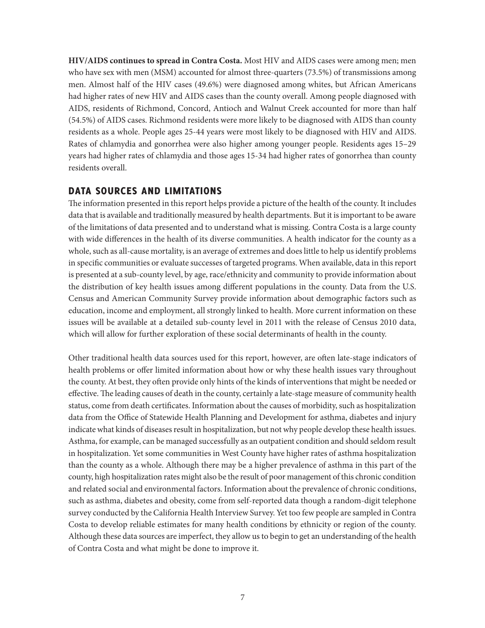**HIV/AIDS continues to spread in Contra Costa.** Most HIV and AIDS cases were among men; men who have sex with men (MSM) accounted for almost three-quarters (73.5%) of transmissions among men. Almost half of the HIV cases (49.6%) were diagnosed among whites, but African Americans had higher rates of new HIV and AIDS cases than the county overall. Among people diagnosed with AIDS, residents of Richmond, Concord, Antioch and Walnut Creek accounted for more than half (54.5%) of AIDS cases. Richmond residents were more likely to be diagnosed with AIDS than county residents as a whole. People ages 25-44 years were most likely to be diagnosed with HIV and AIDS. Rates of chlamydia and gonorrhea were also higher among younger people. Residents ages 15–29 years had higher rates of chlamydia and those ages 15-34 had higher rates of gonorrhea than county residents overall.

#### DATA SOURCES AND LIMITATIONS

The information presented in this report helps provide a picture of the health of the county. It includes data that is available and traditionally measured by health departments. But it is important to be aware of the limitations of data presented and to understand what is missing. Contra Costa is a large county with wide differences in the health of its diverse communities. A health indicator for the county as a whole, such as all-cause mortality, is an average of extremes and does little to help us identify problems in specific communities or evaluate successes of targeted programs. When available, data in this report is presented at a sub-county level, by age, race/ethnicity and community to provide information about the distribution of key health issues among different populations in the county. Data from the U.S. Census and American Community Survey provide information about demographic factors such as education, income and employment, all strongly linked to health. More current information on these issues will be available at a detailed sub-county level in 2011 with the release of Census 2010 data, which will allow for further exploration of these social determinants of health in the county.

Other traditional health data sources used for this report, however, are often late-stage indicators of health problems or offer limited information about how or why these health issues vary throughout the county. At best, they often provide only hints of the kinds of interventions that might be needed or effective. The leading causes of death in the county, certainly a late-stage measure of community health status, come from death certificates. Information about the causes of morbidity, such as hospitalization data from the Office of Statewide Health Planning and Development for asthma, diabetes and injury indicate what kinds of diseases result in hospitalization, but not why people develop these health issues. Asthma, for example, can be managed successfully as an outpatient condition and should seldom result in hospitalization. Yet some communities in West County have higher rates of asthma hospitalization than the county as a whole. Although there may be a higher prevalence of asthma in this part of the county, high hospitalization rates might also be the result of poor management of this chronic condition and related social and environmental factors. Information about the prevalence of chronic conditions, such as asthma, diabetes and obesity, come from self-reported data though a random-digit telephone survey conducted by the California Health Interview Survey. Yet too few people are sampled in Contra Costa to develop reliable estimates for many health conditions by ethnicity or region of the county. Although these data sources are imperfect, they allow us to begin to get an understanding of the health of Contra Costa and what might be done to improve it.